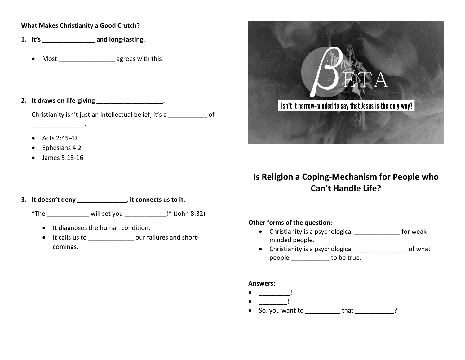#### **What Makes Christianity a Good Crutch?**

- **1. It's \_\_\_\_\_\_\_\_\_\_\_\_\_\_\_ and long-lasting.**
	- Most \_\_\_\_\_\_\_\_\_\_\_\_\_\_\_\_\_\_\_ agrees with this!

#### **2. It draws on life-giving \_\_\_\_\_\_\_\_\_\_\_\_\_\_\_\_\_\_\_.**

\_\_\_\_\_\_\_\_\_\_\_\_\_\_\_.

Christianity isn't just an intellectual belief, it's a \_\_\_\_\_\_\_\_\_\_\_ of

- Acts 2:45-47
- Ephesians 4:2
- James 5:13-16

#### **3. It doesn't deny \_\_\_\_\_\_\_\_\_\_\_\_\_\_, it connects us to it.**

"The  $\qquad \qquad$  will set you  $\qquad \qquad$  !" (John 8:32)

- It diagnoses the human condition.
- It calls us to \_\_\_\_\_\_\_\_\_\_\_\_\_ our failures and shortcomings.



# **Is Religion a Coping-Mechanism for People who Can't Handle Life?**

## **Other forms of the question:**

- Christianity is a psychological \_\_\_\_\_\_\_\_\_\_\_\_\_ for weakminded people.
- Christianity is a psychological \_\_\_\_\_\_\_\_\_\_\_\_\_\_\_ of what people to be true.

#### **Answers:**

- $\bullet$  \_\_\_\_\_\_\_\_\_\_\_\_\_\_\_!  $\bullet$  \_\_\_\_\_\_\_\_\_\_\_\_\_\_!
- So, you want to that that the set of the set of the set of the set of the set of the set of the set of the s